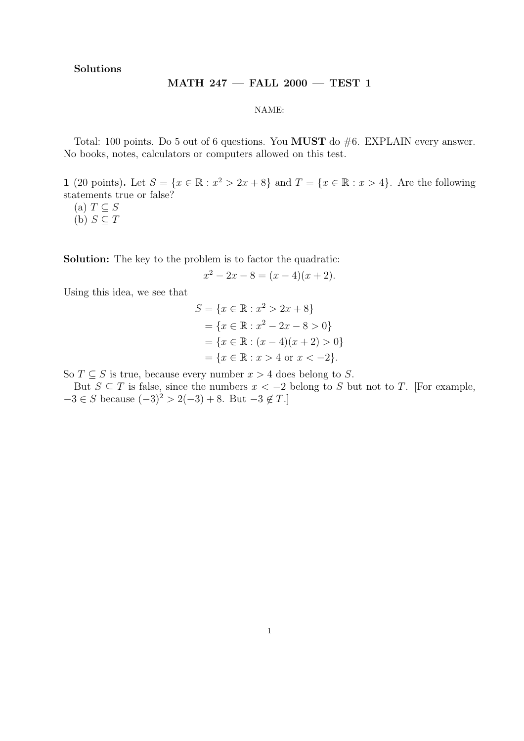Solutions

## MATH 247 — FALL 2000 — TEST 1

NAME:

Total: 100 points. Do 5 out of 6 questions. You **MUST** do #6. EXPLAIN every answer. No books, notes, calculators or computers allowed on this test.

1 (20 points). Let  $S = \{x \in \mathbb{R} : x^2 > 2x + 8\}$  and  $T = \{x \in \mathbb{R} : x > 4\}$ . Are the following statements true or false?

- (a)  $T \subseteq S$
- (b)  $S \subset T$

Solution: The key to the problem is to factor the quadratic:

$$
x^2 - 2x - 8 = (x - 4)(x + 2).
$$

Using this idea, we see that

$$
S = \{x \in \mathbb{R} : x^2 > 2x + 8\}
$$
  
=  $\{x \in \mathbb{R} : x^2 - 2x - 8 > 0\}$   
=  $\{x \in \mathbb{R} : (x - 4)(x + 2) > 0\}$   
=  $\{x \in \mathbb{R} : x > 4 \text{ or } x < -2\}.$ 

So  $T \subseteq S$  is true, because every number  $x > 4$  does belong to S.

But  $S \subseteq T$  is false, since the numbers  $x < -2$  belong to S but not to T. [For example,  $-3 \in S$  because  $(-3)^2 > 2(-3) + 8$ . But  $-3 \notin T$ .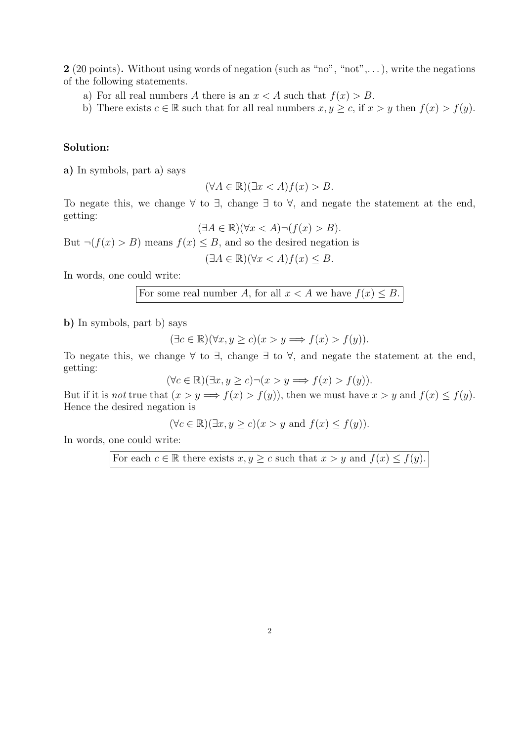2 (20 points). Without using words of negation (such as "no", "not",...), write the negations of the following statements.

- a) For all real numbers A there is an  $x < A$  such that  $f(x) > B$ .
- b) There exists  $c \in \mathbb{R}$  such that for all real numbers  $x, y \geq c$ , if  $x > y$  then  $f(x) > f(y)$ .

## Solution:

a) In symbols, part a) says

$$
(\forall A \in \mathbb{R})(\exists x < A)f(x) > B.
$$

To negate this, we change  $\forall$  to  $\exists$ , change  $\exists$  to  $\forall$ , and negate the statement at the end, getting:

$$
(\exists A \in \mathbb{R})(\forall x < A) \neg (f(x) > B).
$$

But  $\neg(f(x) > B)$  means  $f(x) \leq B$ , and so the desired negation is

$$
(\exists A \in \mathbb{R})(\forall x < A)f(x) \leq B.
$$

In words, one could write:

For some real number A, for all 
$$
x < A
$$
 we have  $f(x) \leq B$ .

b) In symbols, part b) says

$$
(\exists c \in \mathbb{R})(\forall x, y \ge c)(x > y \Longrightarrow f(x) > f(y)).
$$

To negate this, we change  $\forall$  to  $\exists$ , change  $\exists$  to  $\forall$ , and negate the statement at the end, getting:

 $(\forall c \in \mathbb{R})(\exists x, y \ge c) \neg(x > y \Longrightarrow f(x) > f(y)).$ 

But if it is not true that  $(x > y \Longrightarrow f(x) > f(y))$ , then we must have  $x > y$  and  $f(x) \le f(y)$ . Hence the desired negation is

 $(\forall c \in \mathbb{R})(\exists x, y \ge c)(x > y \text{ and } f(x) \le f(y)).$ 

In words, one could write:

For each  $c \in \mathbb{R}$  there exists  $x, y \geq c$  such that  $x > y$  and  $f(x) \leq f(y)$ .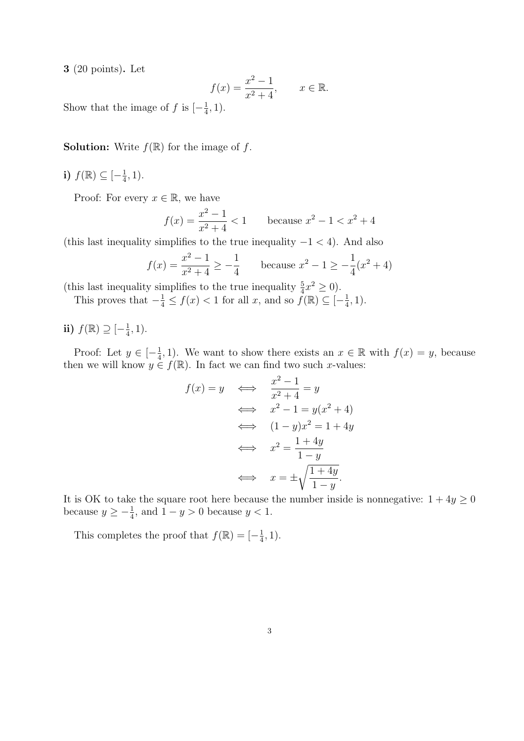3 (20 points). Let

$$
f(x) = \frac{x^2 - 1}{x^2 + 4}
$$
,  $x \in \mathbb{R}$ .

Show that the image of f is  $\left[-\frac{1}{4}\right]$  $\frac{1}{4}, 1$ ).

**Solution:** Write  $f(\mathbb{R})$  for the image of f.

i)  $f(\mathbb{R}) \subseteq \left[-\frac{1}{4}\right]$  $\frac{1}{4}$ , 1).

Proof: For every  $x \in \mathbb{R}$ , we have

$$
f(x) = \frac{x^2 - 1}{x^2 + 4} < 1 \qquad \text{because } x^2 - 1 < x^2 + 4
$$

(this last inequality simplifies to the true inequality  $-1 < 4$ ). And also

$$
f(x) = \frac{x^2 - 1}{x^2 + 4} \ge -\frac{1}{4}
$$
 because  $x^2 - 1 \ge -\frac{1}{4}(x^2 + 4)$ 

(this last inequality simplifies to the true inequality  $\frac{5}{4}x^2 \ge 0$ ).

This proves that  $-\frac{1}{4} \le f(x) < 1$  for all x, and so  $f(\mathbb{R}) \subseteq [-\frac{1}{4}]$  $\frac{1}{4}$ , 1).

$$
\textbf{ii)}\;f(\mathbb{R})\supseteq[-\tfrac{1}{4},1).
$$

Proof: Let  $y \in \left[-\frac{1}{4}\right]$  $\frac{1}{4}$ , 1). We want to show there exists an  $x \in \mathbb{R}$  with  $f(x) = y$ , because then we will know  $y \in f(\mathbb{R})$ . In fact we can find two such x-values:

$$
f(x) = y \iff \frac{x^2 - 1}{x^2 + 4} = y
$$
  

$$
\iff x^2 - 1 = y(x^2 + 4)
$$
  

$$
\iff (1 - y)x^2 = 1 + 4y
$$
  

$$
\iff x^2 = \frac{1 + 4y}{1 - y}
$$
  

$$
\iff x = \pm \sqrt{\frac{1 + 4y}{1 - y}}.
$$

It is OK to take the square root here because the number inside is nonnegative:  $1 + 4y \ge 0$ because  $y \geq -\frac{1}{4}$ , and  $1 - y > 0$  because  $y < 1$ .

This completes the proof that  $f(\mathbb{R}) = \begin{bmatrix} -\frac{1}{4} \end{bmatrix}$  $\frac{1}{4}$ , 1).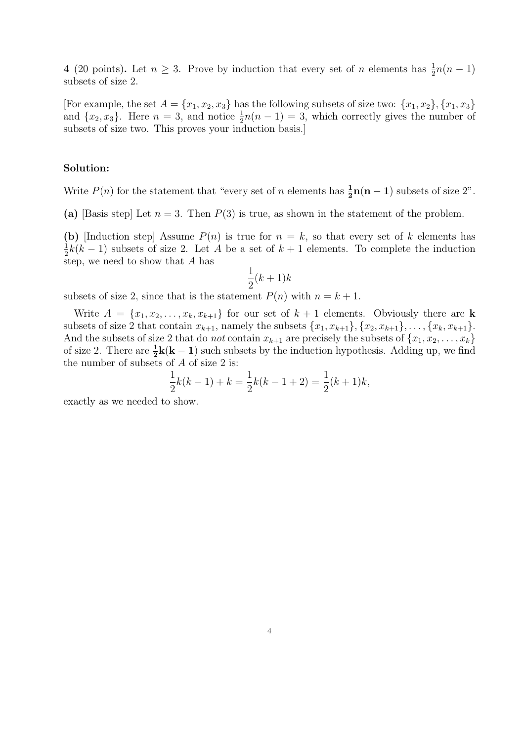4 (20 points). Let  $n \geq 3$ . Prove by induction that every set of n elements has  $\frac{1}{2}n(n-1)$ subsets of size 2.

[For example, the set  $A = \{x_1, x_2, x_3\}$  has the following subsets of size two:  $\{x_1, x_2\}, \{x_1, x_3\}$ and  $\{x_2, x_3\}$ . Here  $n = 3$ , and notice  $\frac{1}{2}n(n-1) = 3$ , which correctly gives the number of subsets of size two. This proves your induction basis.]

## Solution:

Write  $P(n)$  for the statement that "every set of n elements has  $\frac{1}{2}n(n-1)$  subsets of size 2".

(a) [Basis step] Let  $n = 3$ . Then  $P(3)$  is true, as shown in the statement of the problem.

(b) [Induction step] Assume  $P(n)$  is true for  $n = k$ , so that every set of k elements has 1  $\frac{1}{2}k(k-1)$  subsets of size 2. Let A be a set of  $k+1$  elements. To complete the induction step, we need to show that A has

$$
\frac{1}{2}(k+1)k
$$

subsets of size 2, since that is the statement  $P(n)$  with  $n = k + 1$ .

Write  $A = \{x_1, x_2, \ldots, x_k, x_{k+1}\}\$ for our set of  $k+1$  elements. Obviously there are **k** subsets of size 2 that contain  $x_{k+1}$ , namely the subsets  $\{x_1, x_{k+1}\}, \{x_2, x_{k+1}\}, \ldots, \{x_k, x_{k+1}\}.$ And the subsets of size 2 that do *not* contain  $x_{k+1}$  are precisely the subsets of  $\{x_1, x_2, \ldots, x_k\}$ of size 2. There are  $\frac{1}{2}k(k-1)$  such subsets by the induction hypothesis. Adding up, we find the number of subsets of  $A$  of size 2 is:

$$
\frac{1}{2}k(k-1) + k = \frac{1}{2}k(k-1+2) = \frac{1}{2}(k+1)k,
$$

exactly as we needed to show.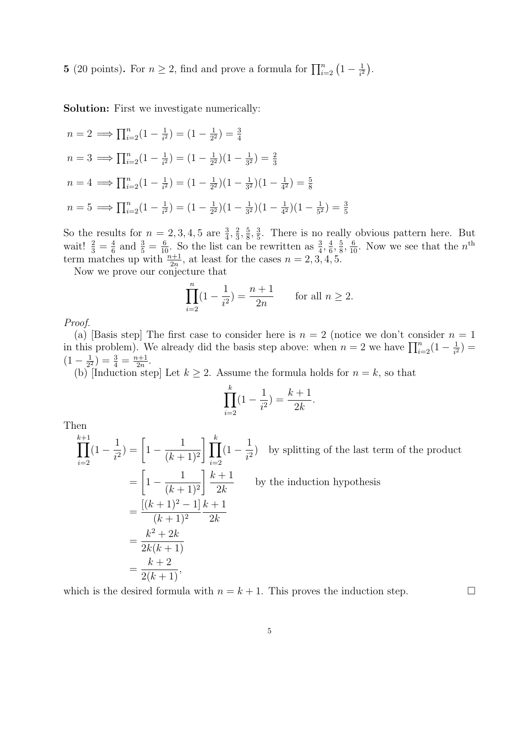**5** (20 points). For  $n \ge 2$ , find and prove a formula for  $\prod_{i=2}^{n} \left(1 - \frac{1}{i^2}\right)$  $\overline{i^2}$ ¢ .

Solution: First we investigate numerically:

$$
n = 2 \implies \prod_{i=2}^{n} (1 - \frac{1}{i^2}) = (1 - \frac{1}{2^2}) = \frac{3}{4}
$$
  
\n
$$
n = 3 \implies \prod_{i=2}^{n} (1 - \frac{1}{i^2}) = (1 - \frac{1}{2^2})(1 - \frac{1}{3^2}) = \frac{2}{3}
$$
  
\n
$$
n = 4 \implies \prod_{i=2}^{n} (1 - \frac{1}{i^2}) = (1 - \frac{1}{2^2})(1 - \frac{1}{3^2})(1 - \frac{1}{4^2}) = \frac{5}{8}
$$
  
\n
$$
n = 5 \implies \prod_{i=2}^{n} (1 - \frac{1}{i^2}) = (1 - \frac{1}{2^2})(1 - \frac{1}{3^2})(1 - \frac{1}{4^2})(1 - \frac{1}{5^2}) = \frac{3}{5}
$$

So the results for  $n = 2, 3, 4, 5$  are  $\frac{3}{4}, \frac{2}{3}$  $\frac{2}{3}, \frac{5}{8}$  $\frac{5}{8}, \frac{3}{5}$  $\frac{3}{5}$ . There is no really obvious pattern here. But wait!  $\frac{2}{3} = \frac{4}{6}$  $\frac{4}{6}$  and  $\frac{3}{5} = \frac{6}{10}$ . So the list can be rewritten as  $\frac{3}{4}$ ,  $\frac{4}{6}$  $\frac{4}{6}, \frac{5}{8}$  $\frac{5}{8}$ ,  $\frac{6}{10}$ . Now we see that the  $n^{\text{th}}$ term matches up with  $\frac{n+1}{2n}$ , at least for the cases  $n = 2, 3, 4, 5$ .

Now we prove our conjecture that

$$
\prod_{i=2}^{n} (1 - \frac{1}{i^2}) = \frac{n+1}{2n} \quad \text{for all } n \ge 2.
$$

Proof.

(a) [Basis step] The first case to consider here is  $n = 2$  (notice we don't consider  $n = 1$ (a) [Basis step] The first case to consider here is  $n = 2$  (notice we don't consider here in this problem). We already did the basis step above: when  $n = 2$  we have  $\prod_{i=2}^{n} (1 - \frac{1}{i^2})$  $\frac{1}{i^2}) =$  $(1 - \frac{1}{2^2})$  $\frac{1}{2^2}$ ) =  $\frac{3}{4}$  =  $\frac{n+1}{2n}$  $\frac{n+1}{2n}$ .

(b) [Induction step] Let  $k \geq 2$ . Assume the formula holds for  $n = k$ , so that

$$
\prod_{i=2}^{k} (1 - \frac{1}{i^2}) = \frac{k+1}{2k}.
$$

Then

 $\frac{k+1}{1}$  $i=2$  $(1 -$ 1  $\frac{1}{i^2}$ ) =  $\Big[1 -$ 1  $(k+1)^2$  $\frac{k}{1-r}$  $i=2$  $(1 -$ 1  $\frac{1}{i^2}$  by splitting of the last term of the product  $= |1 -$ · ¸ 1  $(k+1)^2$  $k+1$  $2k$ by the induction hypothesis =  $[(k+1)^2-1]$  $(k+1)^2$  $k+1$  $2k$ =  $k^2+2k$  $2k(k + 1)$ =  $k+2$  $\frac{k+2}{2(k+1)},$ 

which is the desired formula with  $n = k + 1$ . This proves the induction step.  $\Box$